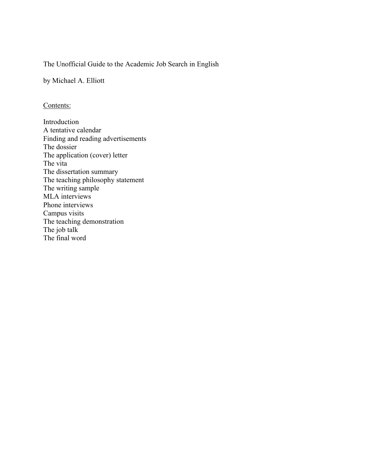# The Unofficial Guide to the Academic Job Search in English

by Michael A. Elliott

### Contents:

Introduction A tentative calendar Finding and reading advertisements The dossier The application (cover) letter The vita The dissertation summary The teaching philosophy statement The writing sample MLA interviews Phone interviews Campus visits The teaching demonstration The job talk The final word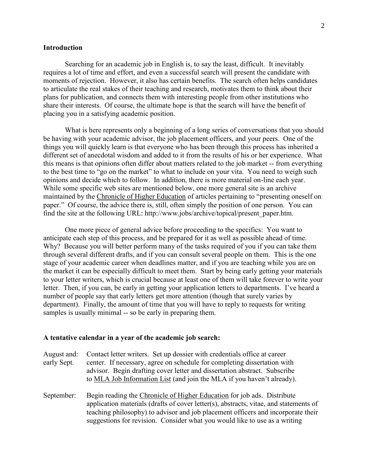### **Introduction**

Searching for an academic job in English is, to say the least, difficult. It inevitably requires a lot of time and effort, and even a successful search will present the candidate with moments of rejection. However, it also has certain benefits. The search often helps candidates to articulate the real stakes of their teaching and research, motivates them to think about their plans for publication, and connects them with interesting people from other institutions who share their interests. Of course, the ultimate hope is that the search will have the benefit of placing you in a satisfying academic position.

What is here represents only a beginning of a long series of conversations that you should be having with your academic advisor, the job placement officers, and your peers. One of the things you will quickly learn is that everyone who has been through this process has inherited a different set of anecdotal wisdom and added to it from the results of his or her experience. What this means is that opinions often differ about matters related to the job market -- from everything to the best time to "go on the market" to what to include on your vita. You need to weigh such opinions and decide which to follow. In addition, there is more material on-line each year. While some specific web sites are mentioned below, one more general site is an archive maintained by the Chronicle of Higher Education of articles pertaining to "presenting oneself on paper." Of course, the advice there is, still, often simply the position of one person. You can find the site at the following URL: http://www.jobs/archive/topical/present\_paper.htm.

One more piece of general advice before proceeding to the specifics: You want to anticipate each step of this process, and be prepared for it as well as possible ahead of time. Why? Because you will better perform many of the tasks required of you if you can take them through several different drafts, and if you can consult several people on them. This is the one stage of your academic career when deadlines matter, and if you are teaching while you are on the market it can be especially difficult to meet them. Start by being early getting your materials to your letter writers, which is crucial because at least one of them will take forever to write your letter. Then, if you can, be early in getting your application letters to departments. I've heard a number of people say that early letters get more attention (though that surely varies by department). Finally, the amount of time that you will have to reply to requests for writing samples is usually minimal -- so be early in preparing them.

#### **A tentative calendar in a year of the academic job search:**

|             | August and: Contact letter writers. Set up dossier with credentials office at career |
|-------------|--------------------------------------------------------------------------------------|
| early Sept. | center. If necessary, agree on schedule for completing dissertation with             |
|             | advisor. Begin drafting cover letter and dissertation abstract. Subscribe            |
|             | to MLA Job Information List (and join the MLA if you haven't already).               |

September: Begin reading the Chronicle of Higher Education for job ads. Distribute application materials (drafts of cover letter(s), abstracts, vitae, and statements of teaching philosophy) to advisor and job placement officers and incorporate their suggestions for revision. Consider what you would like to use as a writing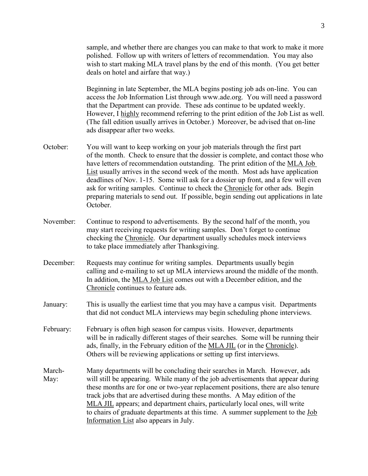sample, and whether there are changes you can make to that work to make it more polished. Follow up with writers of letters of recommendation. You may also wish to start making MLA travel plans by the end of this month. (You get better deals on hotel and airfare that way.)

Beginning in late September, the MLA begins posting job ads on-line. You can access the Job Information List through www.ade.org. You will need a password that the Department can provide. These ads continue to be updated weekly. However, I highly recommend referring to the print edition of the Job List as well. (The fall edition usually arrives in October.) Moreover, be advised that on-line ads disappear after two weeks.

- October: You will want to keep working on your job materials through the first part of the month. Check to ensure that the dossier is complete, and contact those who have letters of recommendation outstanding. The print edition of the MLA Job List usually arrives in the second week of the month. Most ads have application deadlines of Nov. 1-15. Some will ask for a dossier up front, and a few will even ask for writing samples. Continue to check the Chronicle for other ads. Begin preparing materials to send out. If possible, begin sending out applications in late October.
- November: Continue to respond to advertisements. By the second half of the month, you may start receiving requests for writing samples. Don't forget to continue checking the Chronicle. Our department usually schedules mock interviews to take place immediately after Thanksgiving.
- December: Requests may continue for writing samples. Departments usually begin calling and e-mailing to set up MLA interviews around the middle of the month. In addition, the MLA Job List comes out with a December edition, and the Chronicle continues to feature ads.
- January: This is usually the earliest time that you may have a campus visit. Departments that did not conduct MLA interviews may begin scheduling phone interviews.
- February: February is often high season for campus visits. However, departments will be in radically different stages of their searches. Some will be running their ads, finally, in the February edition of the MLA JIL (or in the Chronicle). Others will be reviewing applications or setting up first interviews.
- March- Many departments will be concluding their searches in March. However, ads May: will still be appearing. While many of the job advertisements that appear during these months are for one or two-year replacement positions, there are also tenure track jobs that are advertised during these months. A May edition of the MLA JIL appears; and department chairs, particularly local ones, will write to chairs of graduate departments at this time. A summer supplement to the Job Information List also appears in July.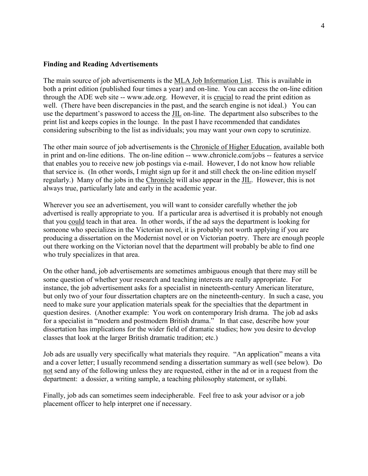### **Finding and Reading Advertisements**

The main source of job advertisements is the MLA Job Information List. This is available in both a print edition (published four times a year) and on-line. You can access the on-line edition through the ADE web site -- www.ade.org. However, it is crucial to read the print edition as well. (There have been discrepancies in the past, and the search engine is not ideal.) You can use the department's password to access the JIL on-line. The department also subscribes to the print list and keeps copies in the lounge. In the past I have recommended that candidates considering subscribing to the list as individuals; you may want your own copy to scrutinize.

The other main source of job advertisements is the Chronicle of Higher Education, available both in print and on-line editions. The on-line edition -- www.chronicle.com/jobs -- features a service that enables you to receive new job postings via e-mail. However, I do not know how reliable that service is. (In other words, I might sign up for it and still check the on-line edition myself regularly.) Many of the jobs in the Chronicle will also appear in the JIL. However, this is not always true, particularly late and early in the academic year.

Wherever you see an advertisement, you will want to consider carefully whether the job advertised is really appropriate to you. If a particular area is advertised it is probably not enough that you could teach in that area. In other words, if the ad says the department is looking for someone who specializes in the Victorian novel, it is probably not worth applying if you are producing a dissertation on the Modernist novel or on Victorian poetry. There are enough people out there working on the Victorian novel that the department will probably be able to find one who truly specializes in that area.

On the other hand, job advertisements are sometimes ambiguous enough that there may still be some question of whether your research and teaching interests are really appropriate. For instance, the job advertisement asks for a specialist in nineteenth-century American literature, but only two of your four dissertation chapters are on the nineteenth-century. In such a case, you need to make sure your application materials speak for the specialties that the department in question desires. (Another example: You work on contemporary Irish drama. The job ad asks for a specialist in "modern and postmodern British drama." In that case, describe how your dissertation has implications for the wider field of dramatic studies; how you desire to develop classes that look at the larger British dramatic tradition; etc.)

Job ads are usually very specifically what materials they require. "An application" means a vita and a cover letter; I usually recommend sending a dissertation summary as well (see below). Do not send any of the following unless they are requested, either in the ad or in a request from the department: a dossier, a writing sample, a teaching philosophy statement, or syllabi.

Finally, job ads can sometimes seem indecipherable. Feel free to ask your advisor or a job placement officer to help interpret one if necessary.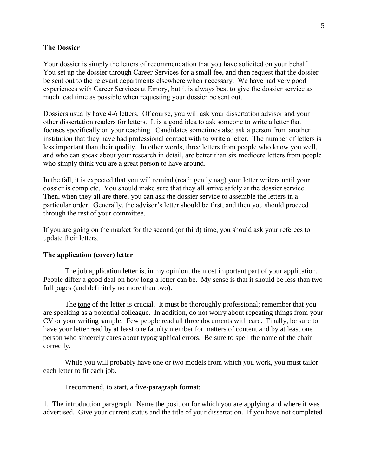#### **The Dossier**

Your dossier is simply the letters of recommendation that you have solicited on your behalf. You set up the dossier through Career Services for a small fee, and then request that the dossier be sent out to the relevant departments elsewhere when necessary. We have had very good experiences with Career Services at Emory, but it is always best to give the dossier service as much lead time as possible when requesting your dossier be sent out.

Dossiers usually have 4-6 letters. Of course, you will ask your dissertation advisor and your other dissertation readers for letters. It is a good idea to ask someone to write a letter that focuses specifically on your teaching. Candidates sometimes also ask a person from another institution that they have had professional contact with to write a letter. The number of letters is less important than their quality. In other words, three letters from people who know you well, and who can speak about your research in detail, are better than six mediocre letters from people who simply think you are a great person to have around.

In the fall, it is expected that you will remind (read: gently nag) your letter writers until your dossier is complete. You should make sure that they all arrive safely at the dossier service. Then, when they all are there, you can ask the dossier service to assemble the letters in a particular order. Generally, the advisor's letter should be first, and then you should proceed through the rest of your committee.

If you are going on the market for the second (or third) time, you should ask your referees to update their letters.

### **The application (cover) letter**

The job application letter is, in my opinion, the most important part of your application. People differ a good deal on how long a letter can be. My sense is that it should be less than two full pages (and definitely no more than two).

The tone of the letter is crucial. It must be thoroughly professional; remember that you are speaking as a potential colleague. In addition, do not worry about repeating things from your CV or your writing sample. Few people read all three documents with care. Finally, be sure to have your letter read by at least one faculty member for matters of content and by at least one person who sincerely cares about typographical errors. Be sure to spell the name of the chair correctly.

While you will probably have one or two models from which you work, you must tailor each letter to fit each job.

I recommend, to start, a five-paragraph format:

1. The introduction paragraph. Name the position for which you are applying and where it was advertised. Give your current status and the title of your dissertation. If you have not completed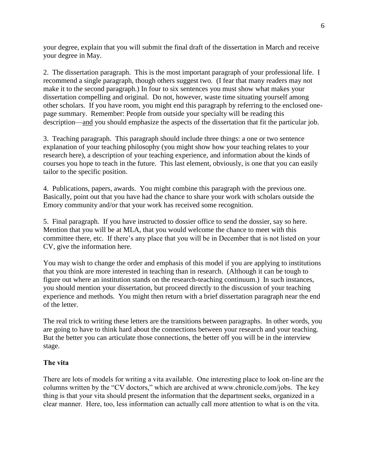your degree, explain that you will submit the final draft of the dissertation in March and receive your degree in May.

2. The dissertation paragraph. This is the most important paragraph of your professional life. I recommend a single paragraph, though others suggest two. (I fear that many readers may not make it to the second paragraph.) In four to six sentences you must show what makes your dissertation compelling and original. Do not, however, waste time situating yourself among other scholars. If you have room, you might end this paragraph by referring to the enclosed onepage summary. Remember: People from outside your specialty will be reading this description—and you should emphasize the aspects of the dissertation that fit the particular job.

3. Teaching paragraph. This paragraph should include three things: a one or two sentence explanation of your teaching philosophy (you might show how your teaching relates to your research here), a description of your teaching experience, and information about the kinds of courses you hope to teach in the future. This last element, obviously, is one that you can easily tailor to the specific position.

4. Publications, papers, awards. You might combine this paragraph with the previous one. Basically, point out that you have had the chance to share your work with scholars outside the Emory community and/or that your work has received some recognition.

5. Final paragraph. If you have instructed to dossier office to send the dossier, say so here. Mention that you will be at MLA, that you would welcome the chance to meet with this committee there, etc. If there's any place that you will be in December that is not listed on your CV, give the information here.

You may wish to change the order and emphasis of this model if you are applying to institutions that you think are more interested in teaching than in research. (Although it can be tough to figure out where an institution stands on the research-teaching continuum.) In such instances, you should mention your dissertation, but proceed directly to the discussion of your teaching experience and methods. You might then return with a brief dissertation paragraph near the end of the letter.

The real trick to writing these letters are the transitions between paragraphs. In other words, you are going to have to think hard about the connections between your research and your teaching. But the better you can articulate those connections, the better off you will be in the interview stage.

### **The vita**

There are lots of models for writing a vita available. One interesting place to look on-line are the columns written by the "CV doctors," which are archived at www.chronicle.com/jobs. The key thing is that your vita should present the information that the department seeks, organized in a clear manner. Here, too, less information can actually call more attention to what is on the vita.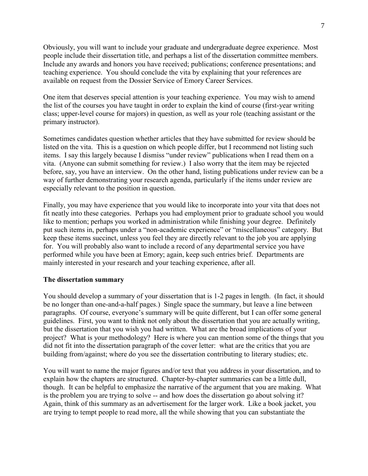Obviously, you will want to include your graduate and undergraduate degree experience. Most people include their dissertation title, and perhaps a list of the dissertation committee members. Include any awards and honors you have received; publications; conference presentations; and teaching experience. You should conclude the vita by explaining that your references are available on request from the Dossier Service of Emory Career Services.

One item that deserves special attention is your teaching experience. You may wish to amend the list of the courses you have taught in order to explain the kind of course (first-year writing class; upper-level course for majors) in question, as well as your role (teaching assistant or the primary instructor).

Sometimes candidates question whether articles that they have submitted for review should be listed on the vita. This is a question on which people differ, but I recommend not listing such items. I say this largely because I dismiss "under review" publications when I read them on a vita. (Anyone can submit something for review.) I also worry that the item may be rejected before, say, you have an interview. On the other hand, listing publications under review can be a way of further demonstrating your research agenda, particularly if the items under review are especially relevant to the position in question.

Finally, you may have experience that you would like to incorporate into your vita that does not fit neatly into these categories. Perhaps you had employment prior to graduate school you would like to mention; perhaps you worked in administration while finishing your degree. Definitely put such items in, perhaps under a "non-academic experience" or "miscellaneous" category. But keep these items succinct, unless you feel they are directly relevant to the job you are applying for. You will probably also want to include a record of any departmental service you have performed while you have been at Emory; again, keep such entries brief. Departments are mainly interested in your research and your teaching experience, after all.

### **The dissertation summary**

You should develop a summary of your dissertation that is 1-2 pages in length. (In fact, it should be no longer than one-and-a-half pages.) Single space the summary, but leave a line between paragraphs. Of course, everyone's summary will be quite different, but I can offer some general guidelines. First, you want to think not only about the dissertation that you are actually writing, but the dissertation that you wish you had written. What are the broad implications of your project? What is your methodology? Here is where you can mention some of the things that you did not fit into the dissertation paragraph of the cover letter: what are the critics that you are building from/against; where do you see the dissertation contributing to literary studies; etc.

You will want to name the major figures and/or text that you address in your dissertation, and to explain how the chapters are structured. Chapter-by-chapter summaries can be a little dull, though. It can be helpful to emphasize the narrative of the argument that you are making. What is the problem you are trying to solve -- and how does the dissertation go about solving it? Again, think of this summary as an advertisement for the larger work. Like a book jacket, you are trying to tempt people to read more, all the while showing that you can substantiate the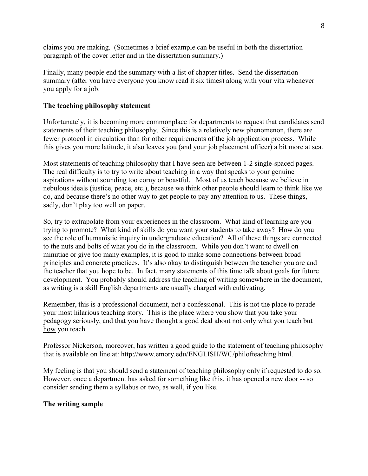claims you are making. (Sometimes a brief example can be useful in both the dissertation paragraph of the cover letter and in the dissertation summary.)

Finally, many people end the summary with a list of chapter titles. Send the dissertation summary (after you have everyone you know read it six times) along with your vita whenever you apply for a job.

## **The teaching philosophy statement**

Unfortunately, it is becoming more commonplace for departments to request that candidates send statements of their teaching philosophy. Since this is a relatively new phenomenon, there are fewer protocol in circulation than for other requirements of the job application process. While this gives you more latitude, it also leaves you (and your job placement officer) a bit more at sea.

Most statements of teaching philosophy that I have seen are between 1-2 single-spaced pages. The real difficulty is to try to write about teaching in a way that speaks to your genuine aspirations without sounding too corny or boastful. Most of us teach because we believe in nebulous ideals (justice, peace, etc.), because we think other people should learn to think like we do, and because there's no other way to get people to pay any attention to us. These things, sadly, don't play too well on paper.

So, try to extrapolate from your experiences in the classroom. What kind of learning are you trying to promote? What kind of skills do you want your students to take away? How do you see the role of humanistic inquiry in undergraduate education? All of these things are connected to the nuts and bolts of what you do in the classroom. While you don't want to dwell on minutiae or give too many examples, it is good to make some connections between broad principles and concrete practices. It's also okay to distinguish between the teacher you are and the teacher that you hope to be. In fact, many statements of this time talk about goals for future development. You probably should address the teaching of writing somewhere in the document, as writing is a skill English departments are usually charged with cultivating.

Remember, this is a professional document, not a confessional. This is not the place to parade your most hilarious teaching story. This is the place where you show that you take your pedagogy seriously, and that you have thought a good deal about not only what you teach but how you teach.

Professor Nickerson, moreover, has written a good guide to the statement of teaching philosophy that is available on line at: http://www.emory.edu/ENGLISH/WC/philofteaching.html.

My feeling is that you should send a statement of teaching philosophy only if requested to do so. However, once a department has asked for something like this, it has opened a new door -- so consider sending them a syllabus or two, as well, if you like.

### **The writing sample**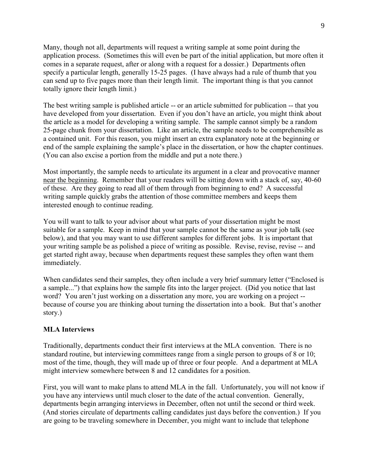Many, though not all, departments will request a writing sample at some point during the application process. (Sometimes this will even be part of the initial application, but more often it comes in a separate request, after or along with a request for a dossier.) Departments often specify a particular length, generally 15-25 pages. (I have always had a rule of thumb that you can send up to five pages more than their length limit. The important thing is that you cannot totally ignore their length limit.)

The best writing sample is published article -- or an article submitted for publication -- that you have developed from your dissertation. Even if you don't have an article, you might think about the article as a model for developing a writing sample. The sample cannot simply be a random 25-page chunk from your dissertation. Like an article, the sample needs to be comprehensible as a contained unit. For this reason, you might insert an extra explanatory note at the beginning or end of the sample explaining the sample's place in the dissertation, or how the chapter continues. (You can also excise a portion from the middle and put a note there.)

Most importantly, the sample needs to articulate its argument in a clear and provocative manner near the beginning. Remember that your readers will be sitting down with a stack of, say, 40-60 of these. Are they going to read all of them through from beginning to end? A successful writing sample quickly grabs the attention of those committee members and keeps them interested enough to continue reading.

You will want to talk to your advisor about what parts of your dissertation might be most suitable for a sample. Keep in mind that your sample cannot be the same as your job talk (see below), and that you may want to use different samples for different jobs. It is important that your writing sample be as polished a piece of writing as possible. Revise, revise, revise -- and get started right away, because when departments request these samples they often want them immediately.

When candidates send their samples, they often include a very brief summary letter ("Enclosed is a sample...") that explains how the sample fits into the larger project. (Did you notice that last word? You aren't just working on a dissertation any more, you are working on a project - because of course you are thinking about turning the dissertation into a book. But that's another story.)

## **MLA Interviews**

Traditionally, departments conduct their first interviews at the MLA convention. There is no standard routine, but interviewing committees range from a single person to groups of 8 or 10; most of the time, though, they will made up of three or four people. And a department at MLA might interview somewhere between 8 and 12 candidates for a position.

First, you will want to make plans to attend MLA in the fall. Unfortunately, you will not know if you have any interviews until much closer to the date of the actual convention. Generally, departments begin arranging interviews in December, often not until the second or third week. (And stories circulate of departments calling candidates just days before the convention.) If you are going to be traveling somewhere in December, you might want to include that telephone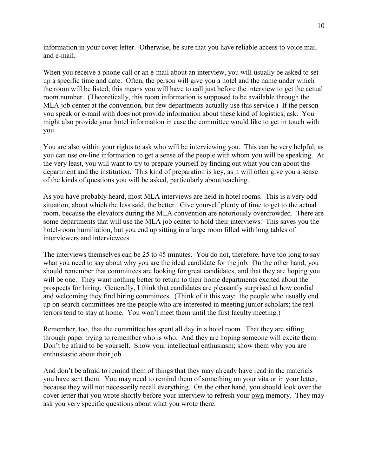information in your cover letter. Otherwise, be sure that you have reliable access to voice mail and e-mail.

When you receive a phone call or an e-mail about an interview, you will usually be asked to set up a specific time and date. Often, the person will give you a hotel and the name under which the room will be listed; this means you will have to call just before the interview to get the actual room number. (Theoretically, this room information is supposed to be available through the MLA job center at the convention, but few departments actually use this service.) If the person you speak or e-mail with does not provide information about these kind of logistics, ask. You might also provide your hotel information in case the committee would like to get in touch with you.

You are also within your rights to ask who will be interviewing you. This can be very helpful, as you can use on-line information to get a sense of the people with whom you will be speaking. At the very least, you will want to try to prepare yourself by finding out what you can about the department and the institution. This kind of preparation is key, as it will often give you a sense of the kinds of questions you will be asked, particularly about teaching.

As you have probably heard, most MLA interviews are held in hotel rooms. This is a very odd situation, about which the less said, the better. Give yourself plenty of time to get to the actual room, because the elevators during the MLA convention are notoriously overcrowded. There are some departments that will use the MLA job center to hold their interviews. This saves you the hotel-room humiliation, but you end up sitting in a large room filled with long tables of interviewers and interviewees.

The interviews themselves can be 25 to 45 minutes. You do not, therefore, have too long to say what you need to say about why you are the ideal candidate for the job. On the other hand, you should remember that committees are looking for great candidates, and that they are hoping you will be one. They want nothing better to return to their home departments excited about the prospects for hiring. Generally, I think that candidates are pleasantly surprised at how cordial and welcoming they find hiring committees. (Think of it this way: the people who usually end up on search committees are the people who are interested in meeting junior scholars; the real terrors tend to stay at home. You won't meet them until the first faculty meeting.)

Remember, too, that the committee has spent all day in a hotel room. That they are sifting through paper trying to remember who is who. And they are hoping someone will excite them. Don't be afraid to be yourself. Show your intellectual enthusiasm; show them why you are enthusiastic about their job.

And don't be afraid to remind them of things that they may already have read in the materials you have sent them. You may need to remind them of something on your vita or in your letter, because they will not necessarily recall everything. On the other hand, you should look over the cover letter that you wrote shortly before your interview to refresh your own memory. They may ask you very specific questions about what you wrote there.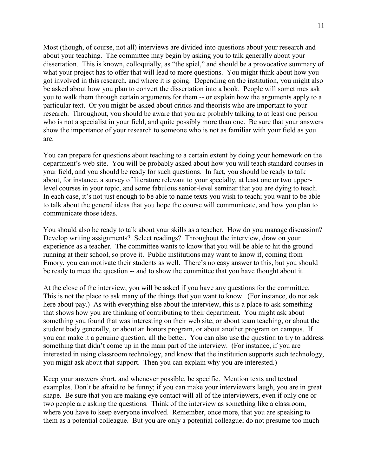Most (though, of course, not all) interviews are divided into questions about your research and about your teaching. The committee may begin by asking you to talk generally about your dissertation. This is known, colloquially, as "the spiel," and should be a provocative summary of what your project has to offer that will lead to more questions. You might think about how you got involved in this research, and where it is going. Depending on the institution, you might also be asked about how you plan to convert the dissertation into a book. People will sometimes ask you to walk them through certain arguments for them -- or explain how the arguments apply to a particular text. Or you might be asked about critics and theorists who are important to your research. Throughout, you should be aware that you are probably talking to at least one person who is not a specialist in your field, and quite possibly more than one. Be sure that your answers show the importance of your research to someone who is not as familiar with your field as you are.

You can prepare for questions about teaching to a certain extent by doing your homework on the department's web site. You will be probably asked about how you will teach standard courses in your field, and you should be ready for such questions. In fact, you should be ready to talk about, for instance, a survey of literature relevant to your specialty, at least one or two upperlevel courses in your topic, and some fabulous senior-level seminar that you are dying to teach. In each case, it's not just enough to be able to name texts you wish to teach; you want to be able to talk about the general ideas that you hope the course will communicate, and how you plan to communicate those ideas.

You should also be ready to talk about your skills as a teacher. How do you manage discussion? Develop writing assignments? Select readings? Throughout the interview, draw on your experience as a teacher. The committee wants to know that you will be able to hit the ground running at their school, so prove it. Public institutions may want to know if, coming from Emory, you can motivate their students as well. There's no easy answer to this, but you should be ready to meet the question -- and to show the committee that you have thought about it.

At the close of the interview, you will be asked if you have any questions for the committee. This is not the place to ask many of the things that you want to know. (For instance, do not ask here about pay.) As with everything else about the interview, this is a place to ask something that shows how you are thinking of contributing to their department. You might ask about something you found that was interesting on their web site, or about team teaching, or about the student body generally, or about an honors program, or about another program on campus. If you can make it a genuine question, all the better. You can also use the question to try to address something that didn't come up in the main part of the interview. (For instance, if you are interested in using classroom technology, and know that the institution supports such technology, you might ask about that support. Then you can explain why you are interested.)

Keep your answers short, and whenever possible, be specific. Mention texts and textual examples. Don't be afraid to be funny; if you can make your interviewers laugh, you are in great shape. Be sure that you are making eye contact will all of the interviewers, even if only one or two people are asking the questions. Think of the interview as something like a classroom, where you have to keep everyone involved. Remember, once more, that you are speaking to them as a potential colleague. But you are only a potential colleague; do not presume too much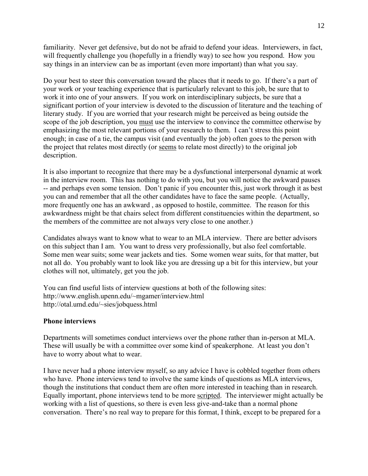familiarity. Never get defensive, but do not be afraid to defend your ideas. Interviewers, in fact, will frequently challenge you (hopefully in a friendly way) to see how you respond. How you say things in an interview can be as important (even more important) than what you say.

Do your best to steer this conversation toward the places that it needs to go. If there's a part of your work or your teaching experience that is particularly relevant to this job, be sure that to work it into one of your answers. If you work on interdisciplinary subjects, be sure that a significant portion of your interview is devoted to the discussion of literature and the teaching of literary study. If you are worried that your research might be perceived as being outside the scope of the job description, you must use the interview to convince the committee otherwise by emphasizing the most relevant portions of your research to them. I can't stress this point enough; in case of a tie, the campus visit (and eventually the job) often goes to the person with the project that relates most directly (or seems to relate most directly) to the original job description.

It is also important to recognize that there may be a dysfunctional interpersonal dynamic at work in the interview room. This has nothing to do with you, but you will notice the awkward pauses -- and perhaps even some tension. Don't panic if you encounter this, just work through it as best you can and remember that all the other candidates have to face the same people. (Actually, more frequently one has an awkward , as opposed to hostile, committee. The reason for this awkwardness might be that chairs select from different constituencies within the department, so the members of the committee are not always very close to one another.)

Candidates always want to know what to wear to an MLA interview. There are better advisors on this subject than I am. You want to dress very professionally, but also feel comfortable. Some men wear suits; some wear jackets and ties. Some women wear suits, for that matter, but not all do. You probably want to look like you are dressing up a bit for this interview, but your clothes will not, ultimately, get you the job.

You can find useful lists of interview questions at both of the following sites: http://www.english.upenn.edu/~mgamer/interview.html http://otal.umd.edu/~sies/jobquess.html

#### **Phone interviews**

Departments will sometimes conduct interviews over the phone rather than in-person at MLA. These will usually be with a committee over some kind of speakerphone. At least you don't have to worry about what to wear.

I have never had a phone interview myself, so any advice I have is cobbled together from others who have. Phone interviews tend to involve the same kinds of questions as MLA interviews, though the institutions that conduct them are often more interested in teaching than in research. Equally important, phone interviews tend to be more scripted. The interviewer might actually be working with a list of questions, so there is even less give-and-take than a normal phone conversation. There's no real way to prepare for this format, I think, except to be prepared for a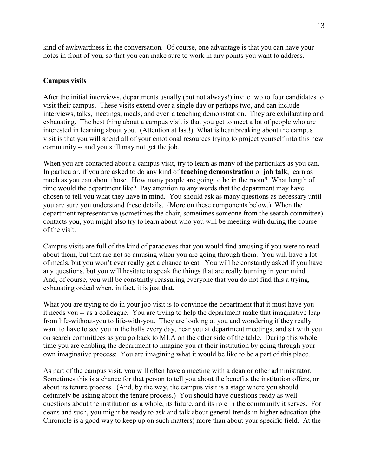kind of awkwardness in the conversation. Of course, one advantage is that you can have your notes in front of you, so that you can make sure to work in any points you want to address.

## **Campus visits**

After the initial interviews, departments usually (but not always!) invite two to four candidates to visit their campus. These visits extend over a single day or perhaps two, and can include interviews, talks, meetings, meals, and even a teaching demonstration. They are exhilarating and exhausting. The best thing about a campus visit is that you get to meet a lot of people who are interested in learning about you. (Attention at last!) What is heartbreaking about the campus visit is that you will spend all of your emotional resources trying to project yourself into this new community -- and you still may not get the job.

When you are contacted about a campus visit, try to learn as many of the particulars as you can. In particular, if you are asked to do any kind of **teaching demonstration** or **job talk**, learn as much as you can about those. How many people are going to be in the room? What length of time would the department like? Pay attention to any words that the department may have chosen to tell you what they have in mind. You should ask as many questions as necessary until you are sure you understand these details. (More on these components below.) When the department representative (sometimes the chair, sometimes someone from the search committee) contacts you, you might also try to learn about who you will be meeting with during the course of the visit.

Campus visits are full of the kind of paradoxes that you would find amusing if you were to read about them, but that are not so amusing when you are going through them. You will have a lot of meals, but you won't ever really get a chance to eat. You will be constantly asked if you have any questions, but you will hesitate to speak the things that are really burning in your mind. And, of course, you will be constantly reassuring everyone that you do not find this a trying, exhausting ordeal when, in fact, it is just that.

What you are trying to do in your job visit is to convince the department that it must have you -it needs you -- as a colleague. You are trying to help the department make that imaginative leap from life-without-you to life-with-you. They are looking at you and wondering if they really want to have to see you in the halls every day, hear you at department meetings, and sit with you on search committees as you go back to MLA on the other side of the table. During this whole time you are enabling the department to imagine you at their institution by going through your own imaginative process: You are imagining what it would be like to be a part of this place.

As part of the campus visit, you will often have a meeting with a dean or other administrator. Sometimes this is a chance for that person to tell you about the benefits the institution offers, or about its tenure process. (And, by the way, the campus visit is a stage where you should definitely be asking about the tenure process.) You should have questions ready as well - questions about the institution as a whole, its future, and its role in the community it serves. For deans and such, you might be ready to ask and talk about general trends in higher education (the Chronicle is a good way to keep up on such matters) more than about your specific field. At the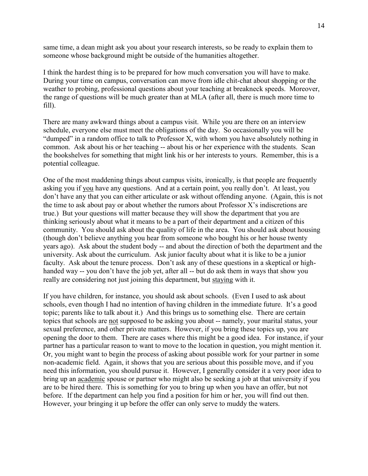same time, a dean might ask you about your research interests, so be ready to explain them to someone whose background might be outside of the humanities altogether.

I think the hardest thing is to be prepared for how much conversation you will have to make. During your time on campus, conversation can move from idle chit-chat about shopping or the weather to probing, professional questions about your teaching at breakneck speeds. Moreover, the range of questions will be much greater than at MLA (after all, there is much more time to fill).

There are many awkward things about a campus visit. While you are there on an interview schedule, everyone else must meet the obligations of the day. So occasionally you will be "dumped" in a random office to talk to Professor X, with whom you have absolutely nothing in common. Ask about his or her teaching -- about his or her experience with the students. Scan the bookshelves for something that might link his or her interests to yours. Remember, this is a potential colleague.

One of the most maddening things about campus visits, ironically, is that people are frequently asking you if you have any questions. And at a certain point, you really don't. At least, you don't have any that you can either articulate or ask without offending anyone. (Again, this is not the time to ask about pay or about whether the rumors about Professor X's indiscretions are true.) But your questions will matter because they will show the department that you are thinking seriously about what it means to be a part of their department and a citizen of this community. You should ask about the quality of life in the area. You should ask about housing (though don't believe anything you hear from someone who bought his or her house twenty years ago). Ask about the student body -- and about the direction of both the department and the university. Ask about the curriculum. Ask junior faculty about what it is like to be a junior faculty. Ask about the tenure process. Don't ask any of these questions in a skeptical or highhanded way -- you don't have the job yet, after all -- but do ask them in ways that show you really are considering not just joining this department, but staying with it.

If you have children, for instance, you should ask about schools. (Even I used to ask about schools, even though I had no intention of having children in the immediate future. It's a good topic; parents like to talk about it.) And this brings us to something else. There are certain topics that schools are not supposed to be asking you about -- namely, your marital status, your sexual preference, and other private matters. However, if you bring these topics up, you are opening the door to them. There are cases where this might be a good idea. For instance, if your partner has a particular reason to want to move to the location in question, you might mention it. Or, you might want to begin the process of asking about possible work for your partner in some non-academic field. Again, it shows that you are serious about this possible move, and if you need this information, you should pursue it. However, I generally consider it a very poor idea to bring up an academic spouse or partner who might also be seeking a job at that university if you are to be hired there. This is something for you to bring up when you have an offer, but not before. If the department can help you find a position for him or her, you will find out then. However, your bringing it up before the offer can only serve to muddy the waters.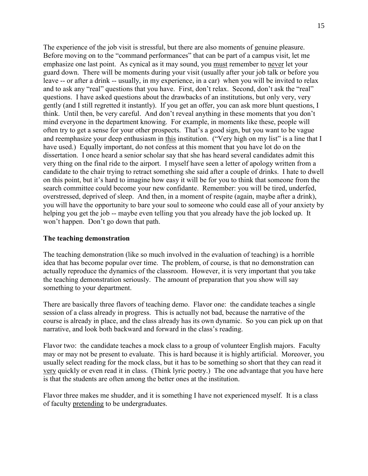The experience of the job visit is stressful, but there are also moments of genuine pleasure. Before moving on to the "command performances" that can be part of a campus visit, let me emphasize one last point. As cynical as it may sound, you must remember to never let your guard down. There will be moments during your visit (usually after your job talk or before you leave -- or after a drink -- usually, in my experience, in a car) when you will be invited to relax and to ask any "real" questions that you have. First, don't relax. Second, don't ask the "real" questions. I have asked questions about the drawbacks of an institutions, but only very, very gently (and I still regretted it instantly). If you get an offer, you can ask more blunt questions, I think. Until then, be very careful. And don't reveal anything in these moments that you don't mind everyone in the department knowing. For example, in moments like these, people will often try to get a sense for your other prospects. That's a good sign, but you want to be vague and reemphasize your deep enthusiasm in this institution. ("Very high on my list" is a line that I have used.) Equally important, do not confess at this moment that you have lot do on the dissertation. I once heard a senior scholar say that she has heard several candidates admit this very thing on the final ride to the airport. I myself have seen a letter of apology written from a candidate to the chair trying to retract something she said after a couple of drinks. I hate to dwell on this point, but it's hard to imagine how easy it will be for you to think that someone from the search committee could become your new confidante. Remember: you will be tired, underfed, overstressed, deprived of sleep. And then, in a moment of respite (again, maybe after a drink), you will have the opportunity to bare your soul to someone who could ease all of your anxiety by helping you get the job -- maybe even telling you that you already have the job locked up. It won't happen. Don't go down that path.

### **The teaching demonstration**

The teaching demonstration (like so much involved in the evaluation of teaching) is a horrible idea that has become popular over time. The problem, of course, is that no demonstration can actually reproduce the dynamics of the classroom. However, it is very important that you take the teaching demonstration seriously. The amount of preparation that you show will say something to your department.

There are basically three flavors of teaching demo. Flavor one: the candidate teaches a single session of a class already in progress. This is actually not bad, because the narrative of the course is already in place, and the class already has its own dynamic. So you can pick up on that narrative, and look both backward and forward in the class's reading.

Flavor two: the candidate teaches a mock class to a group of volunteer English majors. Faculty may or may not be present to evaluate. This is hard because it is highly artificial. Moreover, you usually select reading for the mock class, but it has to be something so short that they can read it very quickly or even read it in class. (Think lyric poetry.) The one advantage that you have here is that the students are often among the better ones at the institution.

Flavor three makes me shudder, and it is something I have not experienced myself. It is a class of faculty pretending to be undergraduates.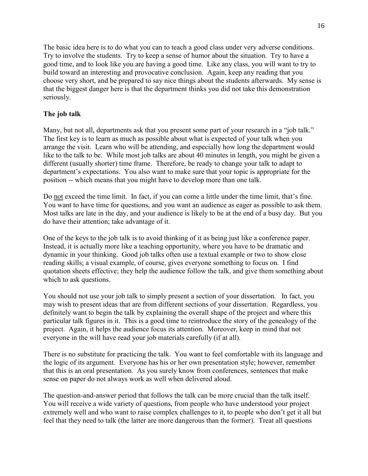The basic idea here is to do what you can to teach a good class under very adverse conditions. Try to involve the students. Try to keep a sense of humor about the situation. Try to have a good time, and to look like you are having a good time. Like any class, you will want to try to build toward an interesting and provocative conclusion. Again, keep any reading that you choose very short, and be prepared to say nice things about the students afterwards. My sense is that the biggest danger here is that the department thinks you did not take this demonstration seriously.

## **The job talk**

Many, but not all, departments ask that you present some part of your research in a "job talk." The first key is to learn as much as possible about what is expected of your talk when you arrange the visit. Learn who will be attending, and especially how long the department would like to the talk to be. While most job talks are about 40 minutes in length, you might be given a different (usually shorter) time frame. Therefore, be ready to change your talk to adapt to department's expectations. You also want to make sure that your topic is appropriate for the position -- which means that you might have to develop more than one talk.

Do not exceed the time limit. In fact, if you can come a little under the time limit, that's fine. You want to have time for questions, and you want an audience as eager as possible to ask them. Most talks are late in the day, and your audience is likely to be at the end of a busy day. But you do have their attention; take advantage of it.

One of the keys to the job talk is to avoid thinking of it as being just like a conference paper. Instead, it is actually more like a teaching opportunity, where you have to be dramatic and dynamic in your thinking. Good job talks often use a textual example or two to show close reading skills; a visual example, of course, gives everyone something to focus on. I find quotation sheets effective; they help the audience follow the talk, and give them something about which to ask questions.

You should not use your job talk to simply present a section of your dissertation. In fact, you may wish to present ideas that are from different sections of your dissertation. Regardless, you definitely want to begin the talk by explaining the overall shape of the project and where this particular talk figures in it. This is a good time to reintroduce the story of the genealogy of the project. Again, it helps the audience focus its attention. Moreover, keep in mind that not everyone in the will have read your job materials carefully (if at all).

There is no substitute for practicing the talk. You want to feel comfortable with its language and the logic of its argument. Everyone has his or her own presentation style; however, remember that this is an oral presentation. As you surely know from conferences, sentences that make sense on paper do not always work as well when delivered aloud.

The question-and-answer period that follows the talk can be more crucial than the talk itself. You will receive a wide variety of questions, from people who have understood your project extremely well and who want to raise complex challenges to it, to people who don't get it all but feel that they need to talk (the latter are more dangerous than the former). Treat all questions